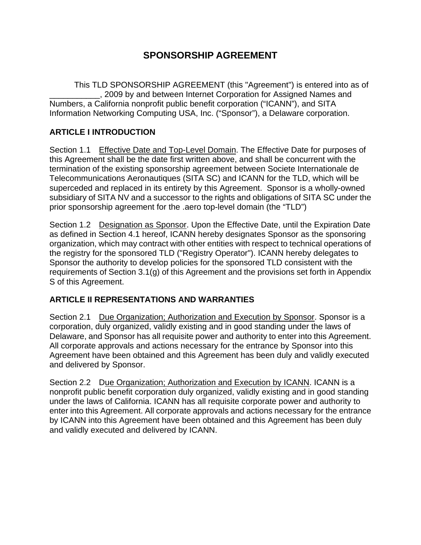# **SPONSORSHIP AGREEMENT**

This TLD SPONSORSHIP AGREEMENT (this "Agreement") is entered into as of \_\_\_\_\_\_\_\_\_\_\_, 2009 by and between Internet Corporation for Assigned Names and Numbers, a California nonprofit public benefit corporation ("ICANN"), and SITA Information Networking Computing USA, Inc. ("Sponsor"), a Delaware corporation.

## **ARTICLE I INTRODUCTION**

Section 1.1 Effective Date and Top-Level Domain. The Effective Date for purposes of this Agreement shall be the date first written above, and shall be concurrent with the termination of the existing sponsorship agreement between Societe Internationale de Telecommunications Aeronautiques (SITA SC) and ICANN for the TLD, which will be superceded and replaced in its entirety by this Agreement. Sponsor is a wholly-owned subsidiary of SITA NV and a successor to the rights and obligations of SITA SC under the prior sponsorship agreement for the .aero top-level domain (the "TLD")

Section 1.2 Designation as Sponsor. Upon the Effective Date, until the Expiration Date as defined in Section 4.1 hereof, ICANN hereby designates Sponsor as the sponsoring organization, which may contract with other entities with respect to technical operations of the registry for the sponsored TLD ("Registry Operator"). ICANN hereby delegates to Sponsor the authority to develop policies for the sponsored TLD consistent with the requirements of Section 3.1(g) of this Agreement and the provisions set forth in Appendix S of this Agreement.

## **ARTICLE II REPRESENTATIONS AND WARRANTIES**

Section 2.1 Due Organization; Authorization and Execution by Sponsor. Sponsor is a corporation, duly organized, validly existing and in good standing under the laws of Delaware, and Sponsor has all requisite power and authority to enter into this Agreement. All corporate approvals and actions necessary for the entrance by Sponsor into this Agreement have been obtained and this Agreement has been duly and validly executed and delivered by Sponsor.

Section 2.2 Due Organization; Authorization and Execution by ICANN. ICANN is a nonprofit public benefit corporation duly organized, validly existing and in good standing under the laws of California. ICANN has all requisite corporate power and authority to enter into this Agreement. All corporate approvals and actions necessary for the entrance by ICANN into this Agreement have been obtained and this Agreement has been duly and validly executed and delivered by ICANN.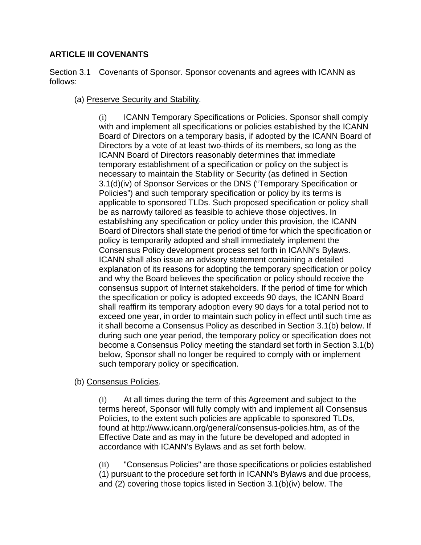## **ARTICLE III COVENANTS**

Section 3.1 Covenants of Sponsor. Sponsor covenants and agrees with ICANN as follows:

### (a) Preserve Security and Stability.

(i) ICANN Temporary Specifications or Policies. Sponsor shall comply with and implement all specifications or policies established by the ICANN Board of Directors on a temporary basis, if adopted by the ICANN Board of Directors by a vote of at least two-thirds of its members, so long as the ICANN Board of Directors reasonably determines that immediate temporary establishment of a specification or policy on the subject is necessary to maintain the Stability or Security (as defined in Section 3.1(d)(iv) of Sponsor Services or the DNS ("Temporary Specification or Policies") and such temporary specification or policy by its terms is applicable to sponsored TLDs. Such proposed specification or policy shall be as narrowly tailored as feasible to achieve those objectives. In establishing any specification or policy under this provision, the ICANN Board of Directors shall state the period of time for which the specification or policy is temporarily adopted and shall immediately implement the Consensus Policy development process set forth in ICANN's Bylaws. ICANN shall also issue an advisory statement containing a detailed explanation of its reasons for adopting the temporary specification or policy and why the Board believes the specification or policy should receive the consensus support of Internet stakeholders. If the period of time for which the specification or policy is adopted exceeds 90 days, the ICANN Board shall reaffirm its temporary adoption every 90 days for a total period not to exceed one year, in order to maintain such policy in effect until such time as it shall become a Consensus Policy as described in Section 3.1(b) below. If during such one year period, the temporary policy or specification does not become a Consensus Policy meeting the standard set forth in Section 3.1(b) below, Sponsor shall no longer be required to comply with or implement such temporary policy or specification.

(b) Consensus Policies.

(i) At all times during the term of this Agreement and subject to the terms hereof, Sponsor will fully comply with and implement all Consensus Policies, to the extent such policies are applicable to sponsored TLDs, found at http://www.icann.org/general/consensus-policies.htm, as of the Effective Date and as may in the future be developed and adopted in accordance with ICANN's Bylaws and as set forth below.

(ii) "Consensus Policies" are those specifications or policies established (1) pursuant to the procedure set forth in ICANN's Bylaws and due process, and (2) covering those topics listed in Section 3.1(b)(iv) below. The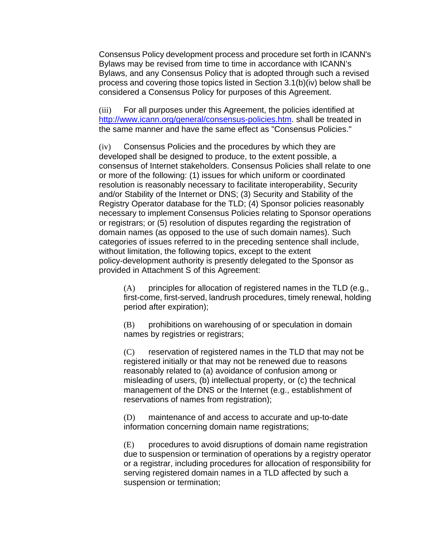Consensus Policy development process and procedure set forth in ICANN's Bylaws may be revised from time to time in accordance with ICANN's Bylaws, and any Consensus Policy that is adopted through such a revised process and covering those topics listed in Section 3.1(b)(iv) below shall be considered a Consensus Policy for purposes of this Agreement.

(iii) For all purposes under this Agreement, the policies identified at http://www.icann.org/general/consensus-policies.htm. shall be treated in the same manner and have the same effect as "Consensus Policies."

(iv) Consensus Policies and the procedures by which they are developed shall be designed to produce, to the extent possible, a consensus of Internet stakeholders. Consensus Policies shall relate to one or more of the following: (1) issues for which uniform or coordinated resolution is reasonably necessary to facilitate interoperability, Security and/or Stability of the Internet or DNS; (3) Security and Stability of the Registry Operator database for the TLD; (4) Sponsor policies reasonably necessary to implement Consensus Policies relating to Sponsor operations or registrars; or (5) resolution of disputes regarding the registration of domain names (as opposed to the use of such domain names). Such categories of issues referred to in the preceding sentence shall include, without limitation, the following topics, except to the extent policy-development authority is presently delegated to the Sponsor as provided in Attachment S of this Agreement:

(A) principles for allocation of registered names in the TLD (e.g., first-come, first-served, landrush procedures, timely renewal, holding period after expiration);

(B) prohibitions on warehousing of or speculation in domain names by registries or registrars;

(C) reservation of registered names in the TLD that may not be registered initially or that may not be renewed due to reasons reasonably related to (a) avoidance of confusion among or misleading of users, (b) intellectual property, or (c) the technical management of the DNS or the Internet (e.g., establishment of reservations of names from registration);

(D) maintenance of and access to accurate and up-to-date information concerning domain name registrations;

(E) procedures to avoid disruptions of domain name registration due to suspension or termination of operations by a registry operator or a registrar, including procedures for allocation of responsibility for serving registered domain names in a TLD affected by such a suspension or termination;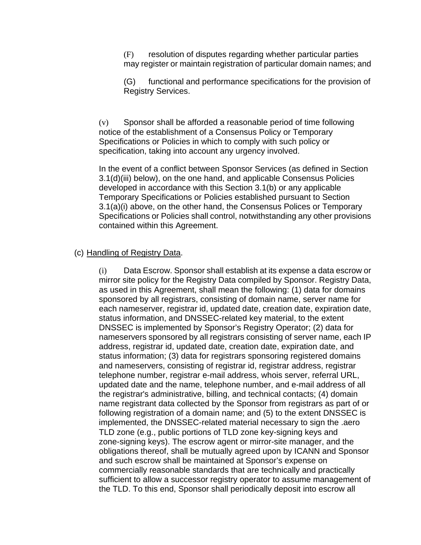(F) resolution of disputes regarding whether particular parties may register or maintain registration of particular domain names; and

(G) functional and performance specifications for the provision of Registry Services.

(v) Sponsor shall be afforded a reasonable period of time following notice of the establishment of a Consensus Policy or Temporary Specifications or Policies in which to comply with such policy or specification, taking into account any urgency involved.

In the event of a conflict between Sponsor Services (as defined in Section 3.1(d)(iii) below), on the one hand, and applicable Consensus Policies developed in accordance with this Section 3.1(b) or any applicable Temporary Specifications or Policies established pursuant to Section 3.1(a)(i) above, on the other hand, the Consensus Polices or Temporary Specifications or Policies shall control, notwithstanding any other provisions contained within this Agreement.

#### (c) Handling of Registry Data.

(i) Data Escrow. Sponsor shall establish at its expense a data escrow or mirror site policy for the Registry Data compiled by Sponsor. Registry Data, as used in this Agreement, shall mean the following: (1) data for domains sponsored by all registrars, consisting of domain name, server name for each nameserver, registrar id, updated date, creation date, expiration date, status information, and DNSSEC-related key material, to the extent DNSSEC is implemented by Sponsor's Registry Operator; (2) data for nameservers sponsored by all registrars consisting of server name, each IP address, registrar id, updated date, creation date, expiration date, and status information; (3) data for registrars sponsoring registered domains and nameservers, consisting of registrar id, registrar address, registrar telephone number, registrar e-mail address, whois server, referral URL, updated date and the name, telephone number, and e-mail address of all the registrar's administrative, billing, and technical contacts; (4) domain name registrant data collected by the Sponsor from registrars as part of or following registration of a domain name; and (5) to the extent DNSSEC is implemented, the DNSSEC-related material necessary to sign the .aero TLD zone (e.g., public portions of TLD zone key-signing keys and zone-signing keys). The escrow agent or mirror-site manager, and the obligations thereof, shall be mutually agreed upon by ICANN and Sponsor and such escrow shall be maintained at Sponsor's expense on commercially reasonable standards that are technically and practically sufficient to allow a successor registry operator to assume management of the TLD. To this end, Sponsor shall periodically deposit into escrow all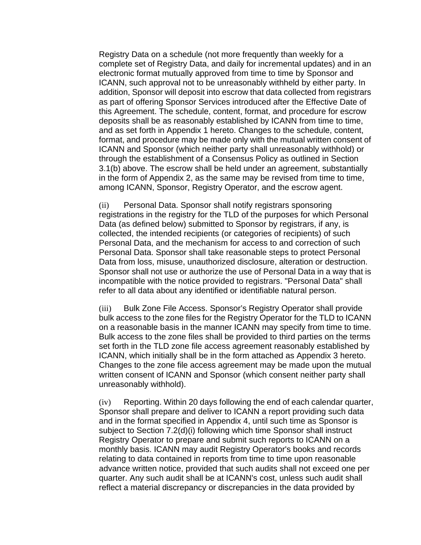Registry Data on a schedule (not more frequently than weekly for a complete set of Registry Data, and daily for incremental updates) and in an electronic format mutually approved from time to time by Sponsor and ICANN, such approval not to be unreasonably withheld by either party. In addition, Sponsor will deposit into escrow that data collected from registrars as part of offering Sponsor Services introduced after the Effective Date of this Agreement. The schedule, content, format, and procedure for escrow deposits shall be as reasonably established by ICANN from time to time, and as set forth in Appendix 1 hereto. Changes to the schedule, content, format, and procedure may be made only with the mutual written consent of ICANN and Sponsor (which neither party shall unreasonably withhold) or through the establishment of a Consensus Policy as outlined in Section 3.1(b) above. The escrow shall be held under an agreement, substantially in the form of Appendix 2, as the same may be revised from time to time, among ICANN, Sponsor, Registry Operator, and the escrow agent.

(ii) Personal Data. Sponsor shall notify registrars sponsoring registrations in the registry for the TLD of the purposes for which Personal Data (as defined below) submitted to Sponsor by registrars, if any, is collected, the intended recipients (or categories of recipients) of such Personal Data, and the mechanism for access to and correction of such Personal Data. Sponsor shall take reasonable steps to protect Personal Data from loss, misuse, unauthorized disclosure, alteration or destruction. Sponsor shall not use or authorize the use of Personal Data in a way that is incompatible with the notice provided to registrars. "Personal Data" shall refer to all data about any identified or identifiable natural person.

(iii) Bulk Zone File Access. Sponsor's Registry Operator shall provide bulk access to the zone files for the Registry Operator for the TLD to ICANN on a reasonable basis in the manner ICANN may specify from time to time. Bulk access to the zone files shall be provided to third parties on the terms set forth in the TLD zone file access agreement reasonably established by ICANN, which initially shall be in the form attached as Appendix 3 hereto. Changes to the zone file access agreement may be made upon the mutual written consent of ICANN and Sponsor (which consent neither party shall unreasonably withhold).

(iv) Reporting. Within 20 days following the end of each calendar quarter, Sponsor shall prepare and deliver to ICANN a report providing such data and in the format specified in Appendix 4, until such time as Sponsor is subject to Section 7.2(d)(i) following which time Sponsor shall instruct Registry Operator to prepare and submit such reports to ICANN on a monthly basis. ICANN may audit Registry Operator's books and records relating to data contained in reports from time to time upon reasonable advance written notice, provided that such audits shall not exceed one per quarter. Any such audit shall be at ICANN's cost, unless such audit shall reflect a material discrepancy or discrepancies in the data provided by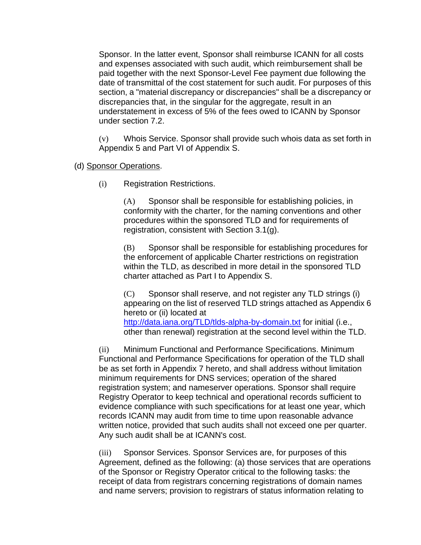Sponsor. In the latter event, Sponsor shall reimburse ICANN for all costs and expenses associated with such audit, which reimbursement shall be paid together with the next Sponsor-Level Fee payment due following the date of transmittal of the cost statement for such audit. For purposes of this section, a "material discrepancy or discrepancies" shall be a discrepancy or discrepancies that, in the singular for the aggregate, result in an understatement in excess of 5% of the fees owed to ICANN by Sponsor under section 7.2.

(v) Whois Service. Sponsor shall provide such whois data as set forth in Appendix 5 and Part VI of Appendix S.

- (d) Sponsor Operations.
	- (i) Registration Restrictions.

(A) Sponsor shall be responsible for establishing policies, in conformity with the charter, for the naming conventions and other procedures within the sponsored TLD and for requirements of registration, consistent with Section 3.1(g).

(B) Sponsor shall be responsible for establishing procedures for the enforcement of applicable Charter restrictions on registration within the TLD, as described in more detail in the sponsored TLD charter attached as Part I to Appendix S.

(C) Sponsor shall reserve, and not register any TLD strings (i) appearing on the list of reserved TLD strings attached as Appendix 6 hereto or (ii) located at http://data.iana.org/TLD/tlds-alpha-by-domain.txt for initial (i.e., other than renewal) registration at the second level within the TLD.

(ii) Minimum Functional and Performance Specifications. Minimum Functional and Performance Specifications for operation of the TLD shall be as set forth in Appendix 7 hereto, and shall address without limitation minimum requirements for DNS services; operation of the shared registration system; and nameserver operations. Sponsor shall require Registry Operator to keep technical and operational records sufficient to evidence compliance with such specifications for at least one year, which records ICANN may audit from time to time upon reasonable advance written notice, provided that such audits shall not exceed one per quarter. Any such audit shall be at ICANN's cost.

(iii) Sponsor Services. Sponsor Services are, for purposes of this Agreement, defined as the following: (a) those services that are operations of the Sponsor or Registry Operator critical to the following tasks: the receipt of data from registrars concerning registrations of domain names and name servers; provision to registrars of status information relating to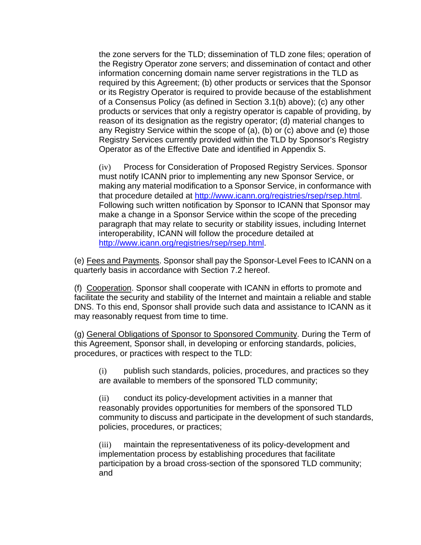the zone servers for the TLD; dissemination of TLD zone files; operation of the Registry Operator zone servers; and dissemination of contact and other information concerning domain name server registrations in the TLD as required by this Agreement; (b) other products or services that the Sponsor or its Registry Operator is required to provide because of the establishment of a Consensus Policy (as defined in Section 3.1(b) above); (c) any other products or services that only a registry operator is capable of providing, by reason of its designation as the registry operator; (d) material changes to any Registry Service within the scope of (a), (b) or (c) above and (e) those Registry Services currently provided within the TLD by Sponsor's Registry Operator as of the Effective Date and identified in Appendix S.

(iv) Process for Consideration of Proposed Registry Services. Sponsor must notify ICANN prior to implementing any new Sponsor Service, or making any material modification to a Sponsor Service, in conformance with that procedure detailed at http://www.icann.org/registries/rsep/rsep.html. Following such written notification by Sponsor to ICANN that Sponsor may make a change in a Sponsor Service within the scope of the preceding paragraph that may relate to security or stability issues, including Internet interoperability, ICANN will follow the procedure detailed at http://www.icann.org/registries/rsep/rsep.html.

(e) Fees and Payments. Sponsor shall pay the Sponsor-Level Fees to ICANN on a quarterly basis in accordance with Section 7.2 hereof.

(f) Cooperation. Sponsor shall cooperate with ICANN in efforts to promote and facilitate the security and stability of the Internet and maintain a reliable and stable DNS. To this end, Sponsor shall provide such data and assistance to ICANN as it may reasonably request from time to time.

(g) General Obligations of Sponsor to Sponsored Community. During the Term of this Agreement, Sponsor shall, in developing or enforcing standards, policies, procedures, or practices with respect to the TLD:

(i) publish such standards, policies, procedures, and practices so they are available to members of the sponsored TLD community;

(ii) conduct its policy-development activities in a manner that reasonably provides opportunities for members of the sponsored TLD community to discuss and participate in the development of such standards, policies, procedures, or practices;

(iii) maintain the representativeness of its policy-development and implementation process by establishing procedures that facilitate participation by a broad cross-section of the sponsored TLD community; and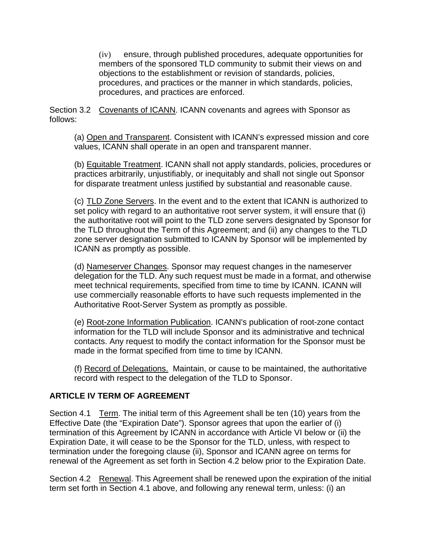(iv) ensure, through published procedures, adequate opportunities for members of the sponsored TLD community to submit their views on and objections to the establishment or revision of standards, policies, procedures, and practices or the manner in which standards, policies, procedures, and practices are enforced.

Section 3.2 Covenants of ICANN. ICANN covenants and agrees with Sponsor as follows:

(a) Open and Transparent. Consistent with ICANN's expressed mission and core values, ICANN shall operate in an open and transparent manner.

(b) Equitable Treatment. ICANN shall not apply standards, policies, procedures or practices arbitrarily, unjustifiably, or inequitably and shall not single out Sponsor for disparate treatment unless justified by substantial and reasonable cause.

(c) TLD Zone Servers. In the event and to the extent that ICANN is authorized to set policy with regard to an authoritative root server system, it will ensure that (i) the authoritative root will point to the TLD zone servers designated by Sponsor for the TLD throughout the Term of this Agreement; and (ii) any changes to the TLD zone server designation submitted to ICANN by Sponsor will be implemented by ICANN as promptly as possible.

(d) Nameserver Changes. Sponsor may request changes in the nameserver delegation for the TLD. Any such request must be made in a format, and otherwise meet technical requirements, specified from time to time by ICANN. ICANN will use commercially reasonable efforts to have such requests implemented in the Authoritative Root-Server System as promptly as possible.

(e) Root-zone Information Publication. ICANN's publication of root-zone contact information for the TLD will include Sponsor and its administrative and technical contacts. Any request to modify the contact information for the Sponsor must be made in the format specified from time to time by ICANN.

(f) Record of Delegations. Maintain, or cause to be maintained, the authoritative record with respect to the delegation of the TLD to Sponsor.

## **ARTICLE IV TERM OF AGREEMENT**

Section 4.1 Term. The initial term of this Agreement shall be ten (10) years from the Effective Date (the "Expiration Date"). Sponsor agrees that upon the earlier of (i) termination of this Agreement by ICANN in accordance with Article VI below or (ii) the Expiration Date, it will cease to be the Sponsor for the TLD, unless, with respect to termination under the foregoing clause (ii), Sponsor and ICANN agree on terms for renewal of the Agreement as set forth in Section 4.2 below prior to the Expiration Date.

Section 4.2 Renewal. This Agreement shall be renewed upon the expiration of the initial term set forth in Section 4.1 above, and following any renewal term, unless: (i) an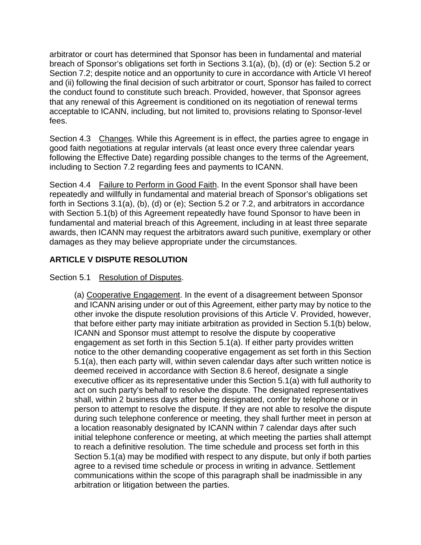arbitrator or court has determined that Sponsor has been in fundamental and material breach of Sponsor's obligations set forth in Sections 3.1(a), (b), (d) or (e): Section 5.2 or Section 7.2; despite notice and an opportunity to cure in accordance with Article VI hereof and (ii) following the final decision of such arbitrator or court, Sponsor has failed to correct the conduct found to constitute such breach. Provided, however, that Sponsor agrees that any renewal of this Agreement is conditioned on its negotiation of renewal terms acceptable to ICANN, including, but not limited to, provisions relating to Sponsor-level fees.

Section 4.3 Changes. While this Agreement is in effect, the parties agree to engage in good faith negotiations at regular intervals (at least once every three calendar years following the Effective Date) regarding possible changes to the terms of the Agreement, including to Section 7.2 regarding fees and payments to ICANN.

Section 4.4 Failure to Perform in Good Faith. In the event Sponsor shall have been repeatedly and willfully in fundamental and material breach of Sponsor's obligations set forth in Sections 3.1(a), (b), (d) or (e); Section 5.2 or 7.2, and arbitrators in accordance with Section 5.1(b) of this Agreement repeatedly have found Sponsor to have been in fundamental and material breach of this Agreement, including in at least three separate awards, then ICANN may request the arbitrators award such punitive, exemplary or other damages as they may believe appropriate under the circumstances.

## **ARTICLE V DISPUTE RESOLUTION**

## Section 5.1 Resolution of Disputes.

(a) Cooperative Engagement. In the event of a disagreement between Sponsor and ICANN arising under or out of this Agreement, either party may by notice to the other invoke the dispute resolution provisions of this Article V. Provided, however, that before either party may initiate arbitration as provided in Section 5.1(b) below, ICANN and Sponsor must attempt to resolve the dispute by cooperative engagement as set forth in this Section 5.1(a). If either party provides written notice to the other demanding cooperative engagement as set forth in this Section 5.1(a), then each party will, within seven calendar days after such written notice is deemed received in accordance with Section 8.6 hereof, designate a single executive officer as its representative under this Section 5.1(a) with full authority to act on such party's behalf to resolve the dispute. The designated representatives shall, within 2 business days after being designated, confer by telephone or in person to attempt to resolve the dispute. If they are not able to resolve the dispute during such telephone conference or meeting, they shall further meet in person at a location reasonably designated by ICANN within 7 calendar days after such initial telephone conference or meeting, at which meeting the parties shall attempt to reach a definitive resolution. The time schedule and process set forth in this Section 5.1(a) may be modified with respect to any dispute, but only if both parties agree to a revised time schedule or process in writing in advance. Settlement communications within the scope of this paragraph shall be inadmissible in any arbitration or litigation between the parties.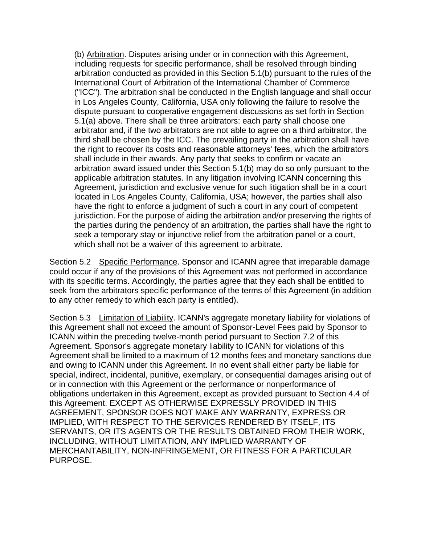(b) Arbitration. Disputes arising under or in connection with this Agreement, including requests for specific performance, shall be resolved through binding arbitration conducted as provided in this Section 5.1(b) pursuant to the rules of the International Court of Arbitration of the International Chamber of Commerce ("ICC"). The arbitration shall be conducted in the English language and shall occur in Los Angeles County, California, USA only following the failure to resolve the dispute pursuant to cooperative engagement discussions as set forth in Section 5.1(a) above. There shall be three arbitrators: each party shall choose one arbitrator and, if the two arbitrators are not able to agree on a third arbitrator, the third shall be chosen by the ICC. The prevailing party in the arbitration shall have the right to recover its costs and reasonable attorneys' fees, which the arbitrators shall include in their awards. Any party that seeks to confirm or vacate an arbitration award issued under this Section 5.1(b) may do so only pursuant to the applicable arbitration statutes. In any litigation involving ICANN concerning this Agreement, jurisdiction and exclusive venue for such litigation shall be in a court located in Los Angeles County, California, USA; however, the parties shall also have the right to enforce a judgment of such a court in any court of competent jurisdiction. For the purpose of aiding the arbitration and/or preserving the rights of the parties during the pendency of an arbitration, the parties shall have the right to seek a temporary stay or injunctive relief from the arbitration panel or a court, which shall not be a waiver of this agreement to arbitrate.

Section 5.2 Specific Performance. Sponsor and ICANN agree that irreparable damage could occur if any of the provisions of this Agreement was not performed in accordance with its specific terms. Accordingly, the parties agree that they each shall be entitled to seek from the arbitrators specific performance of the terms of this Agreement (in addition to any other remedy to which each party is entitled).

Section 5.3 Limitation of Liability. ICANN's aggregate monetary liability for violations of this Agreement shall not exceed the amount of Sponsor-Level Fees paid by Sponsor to ICANN within the preceding twelve-month period pursuant to Section 7.2 of this Agreement. Sponsor's aggregate monetary liability to ICANN for violations of this Agreement shall be limited to a maximum of 12 months fees and monetary sanctions due and owing to ICANN under this Agreement. In no event shall either party be liable for special, indirect, incidental, punitive, exemplary, or consequential damages arising out of or in connection with this Agreement or the performance or nonperformance of obligations undertaken in this Agreement, except as provided pursuant to Section 4.4 of this Agreement. EXCEPT AS OTHERWISE EXPRESSLY PROVIDED IN THIS AGREEMENT, SPONSOR DOES NOT MAKE ANY WARRANTY, EXPRESS OR IMPLIED, WITH RESPECT TO THE SERVICES RENDERED BY ITSELF, ITS SERVANTS, OR ITS AGENTS OR THE RESULTS OBTAINED FROM THEIR WORK, INCLUDING, WITHOUT LIMITATION, ANY IMPLIED WARRANTY OF MERCHANTABILITY, NON-INFRINGEMENT, OR FITNESS FOR A PARTICULAR PURPOSE.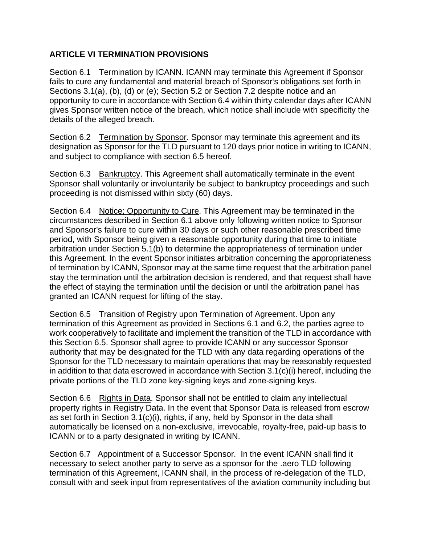## **ARTICLE VI TERMINATION PROVISIONS**

Section 6.1 Termination by ICANN. ICANN may terminate this Agreement if Sponsor fails to cure any fundamental and material breach of Sponsor's obligations set forth in Sections 3.1(a), (b), (d) or (e); Section 5.2 or Section 7.2 despite notice and an opportunity to cure in accordance with Section 6.4 within thirty calendar days after ICANN gives Sponsor written notice of the breach, which notice shall include with specificity the details of the alleged breach.

Section 6.2 Termination by Sponsor. Sponsor may terminate this agreement and its designation as Sponsor for the TLD pursuant to 120 days prior notice in writing to ICANN, and subject to compliance with section 6.5 hereof.

Section 6.3 Bankruptcy. This Agreement shall automatically terminate in the event Sponsor shall voluntarily or involuntarily be subject to bankruptcy proceedings and such proceeding is not dismissed within sixty (60) days.

Section 6.4 Notice; Opportunity to Cure. This Agreement may be terminated in the circumstances described in Section 6.1 above only following written notice to Sponsor and Sponsor's failure to cure within 30 days or such other reasonable prescribed time period, with Sponsor being given a reasonable opportunity during that time to initiate arbitration under Section 5.1(b) to determine the appropriateness of termination under this Agreement. In the event Sponsor initiates arbitration concerning the appropriateness of termination by ICANN, Sponsor may at the same time request that the arbitration panel stay the termination until the arbitration decision is rendered, and that request shall have the effect of staying the termination until the decision or until the arbitration panel has granted an ICANN request for lifting of the stay.

Section 6.5 Transition of Registry upon Termination of Agreement. Upon any termination of this Agreement as provided in Sections 6.1 and 6.2, the parties agree to work cooperatively to facilitate and implement the transition of the TLD in accordance with this Section 6.5. Sponsor shall agree to provide ICANN or any successor Sponsor authority that may be designated for the TLD with any data regarding operations of the Sponsor for the TLD necessary to maintain operations that may be reasonably requested in addition to that data escrowed in accordance with Section 3.1(c)(i) hereof, including the private portions of the TLD zone key-signing keys and zone-signing keys.

Section 6.6 Rights in Data. Sponsor shall not be entitled to claim any intellectual property rights in Registry Data. In the event that Sponsor Data is released from escrow as set forth in Section 3.1(c)(i), rights, if any, held by Sponsor in the data shall automatically be licensed on a non-exclusive, irrevocable, royalty-free, paid-up basis to ICANN or to a party designated in writing by ICANN.

Section 6.7 Appointment of a Successor Sponsor. In the event ICANN shall find it necessary to select another party to serve as a sponsor for the .aero TLD following termination of this Agreement, ICANN shall, in the process of re-delegation of the TLD, consult with and seek input from representatives of the aviation community including but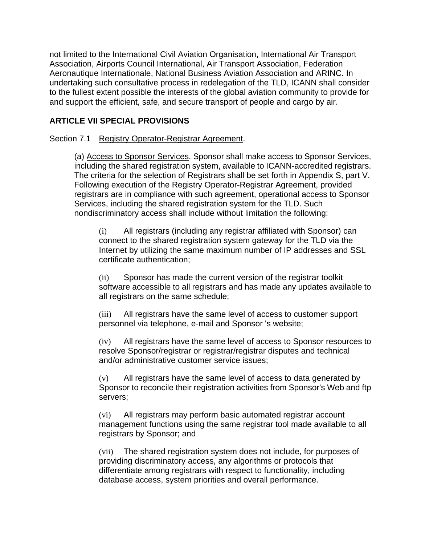not limited to the International Civil Aviation Organisation, International Air Transport Association, Airports Council International, Air Transport Association, Federation Aeronautique Internationale, National Business Aviation Association and ARINC. In undertaking such consultative process in redelegation of the TLD, ICANN shall consider to the fullest extent possible the interests of the global aviation community to provide for and support the efficient, safe, and secure transport of people and cargo by air.

## **ARTICLE VII SPECIAL PROVISIONS**

Section 7.1 Registry Operator-Registrar Agreement.

(a) Access to Sponsor Services. Sponsor shall make access to Sponsor Services, including the shared registration system, available to ICANN-accredited registrars. The criteria for the selection of Registrars shall be set forth in Appendix S, part V. Following execution of the Registry Operator-Registrar Agreement, provided registrars are in compliance with such agreement, operational access to Sponsor Services, including the shared registration system for the TLD. Such nondiscriminatory access shall include without limitation the following:

(i) All registrars (including any registrar affiliated with Sponsor) can connect to the shared registration system gateway for the TLD via the Internet by utilizing the same maximum number of IP addresses and SSL certificate authentication;

(ii) Sponsor has made the current version of the registrar toolkit software accessible to all registrars and has made any updates available to all registrars on the same schedule;

(iii) All registrars have the same level of access to customer support personnel via telephone, e-mail and Sponsor 's website;

(iv) All registrars have the same level of access to Sponsor resources to resolve Sponsor/registrar or registrar/registrar disputes and technical and/or administrative customer service issues;

(v) All registrars have the same level of access to data generated by Sponsor to reconcile their registration activities from Sponsor's Web and ftp servers;

(vi) All registrars may perform basic automated registrar account management functions using the same registrar tool made available to all registrars by Sponsor; and

(vii) The shared registration system does not include, for purposes of providing discriminatory access, any algorithms or protocols that differentiate among registrars with respect to functionality, including database access, system priorities and overall performance.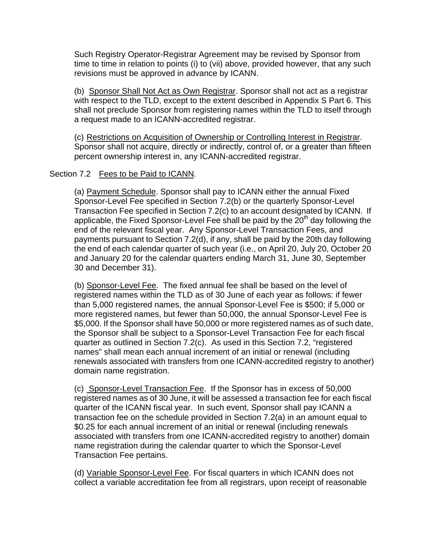Such Registry Operator-Registrar Agreement may be revised by Sponsor from time to time in relation to points (i) to (vii) above, provided however, that any such revisions must be approved in advance by ICANN.

(b) Sponsor Shall Not Act as Own Registrar. Sponsor shall not act as a registrar with respect to the TLD, except to the extent described in Appendix S Part 6. This shall not preclude Sponsor from registering names within the TLD to itself through a request made to an ICANN-accredited registrar.

(c) Restrictions on Acquisition of Ownership or Controlling Interest in Registrar. Sponsor shall not acquire, directly or indirectly, control of, or a greater than fifteen percent ownership interest in, any ICANN-accredited registrar.

#### Section 7.2 Fees to be Paid to ICANN.

(a) Payment Schedule. Sponsor shall pay to ICANN either the annual Fixed Sponsor-Level Fee specified in Section 7.2(b) or the quarterly Sponsor-Level Transaction Fee specified in Section 7.2(c) to an account designated by ICANN. If applicable, the Fixed Sponsor-Level Fee shall be paid by the  $20<sup>th</sup>$  day following the end of the relevant fiscal year. Any Sponsor-Level Transaction Fees, and payments pursuant to Section 7.2(d), if any, shall be paid by the 20th day following the end of each calendar quarter of such year (i.e., on April 20, July 20, October 20 and January 20 for the calendar quarters ending March 31, June 30, September 30 and December 31).

(b) Sponsor-Level Fee. The fixed annual fee shall be based on the level of registered names within the TLD as of 30 June of each year as follows: if fewer than 5,000 registered names, the annual Sponsor-Level Fee is \$500; if 5,000 or more registered names, but fewer than 50,000, the annual Sponsor-Level Fee is \$5,000. If the Sponsor shall have 50,000 or more registered names as of such date, the Sponsor shall be subject to a Sponsor-Level Transaction Fee for each fiscal quarter as outlined in Section 7.2(c). As used in this Section 7.2, "registered names" shall mean each annual increment of an initial or renewal (including renewals associated with transfers from one ICANN-accredited registry to another) domain name registration.

(c) Sponsor-Level Transaction Fee. If the Sponsor has in excess of 50,000 registered names as of 30 June, it will be assessed a transaction fee for each fiscal quarter of the ICANN fiscal year. In such event, Sponsor shall pay ICANN a transaction fee on the schedule provided in Section 7.2(a) in an amount equal to \$0.25 for each annual increment of an initial or renewal (including renewals associated with transfers from one ICANN-accredited registry to another) domain name registration during the calendar quarter to which the Sponsor-Level Transaction Fee pertains.

(d) Variable Sponsor-Level Fee. For fiscal quarters in which ICANN does not collect a variable accreditation fee from all registrars, upon receipt of reasonable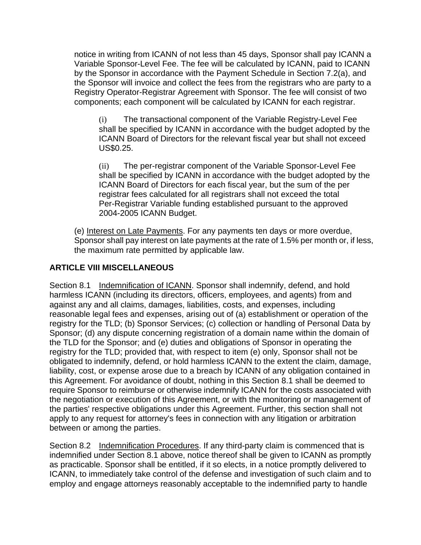notice in writing from ICANN of not less than 45 days, Sponsor shall pay ICANN a Variable Sponsor-Level Fee. The fee will be calculated by ICANN, paid to ICANN by the Sponsor in accordance with the Payment Schedule in Section 7.2(a), and the Sponsor will invoice and collect the fees from the registrars who are party to a Registry Operator-Registrar Agreement with Sponsor. The fee will consist of two components; each component will be calculated by ICANN for each registrar.

(i) The transactional component of the Variable Registry-Level Fee shall be specified by ICANN in accordance with the budget adopted by the ICANN Board of Directors for the relevant fiscal year but shall not exceed US\$0.25.

(ii) The per-registrar component of the Variable Sponsor-Level Fee shall be specified by ICANN in accordance with the budget adopted by the ICANN Board of Directors for each fiscal year, but the sum of the per registrar fees calculated for all registrars shall not exceed the total Per-Registrar Variable funding established pursuant to the approved 2004-2005 ICANN Budget.

(e) Interest on Late Payments. For any payments ten days or more overdue, Sponsor shall pay interest on late payments at the rate of 1.5% per month or, if less, the maximum rate permitted by applicable law.

## **ARTICLE VIII MISCELLANEOUS**

Section 8.1 Indemnification of ICANN. Sponsor shall indemnify, defend, and hold harmless ICANN (including its directors, officers, employees, and agents) from and against any and all claims, damages, liabilities, costs, and expenses, including reasonable legal fees and expenses, arising out of (a) establishment or operation of the registry for the TLD; (b) Sponsor Services; (c) collection or handling of Personal Data by Sponsor; (d) any dispute concerning registration of a domain name within the domain of the TLD for the Sponsor; and (e) duties and obligations of Sponsor in operating the registry for the TLD; provided that, with respect to item (e) only, Sponsor shall not be obligated to indemnify, defend, or hold harmless ICANN to the extent the claim, damage, liability, cost, or expense arose due to a breach by ICANN of any obligation contained in this Agreement. For avoidance of doubt, nothing in this Section 8.1 shall be deemed to require Sponsor to reimburse or otherwise indemnify ICANN for the costs associated with the negotiation or execution of this Agreement, or with the monitoring or management of the parties' respective obligations under this Agreement. Further, this section shall not apply to any request for attorney's fees in connection with any litigation or arbitration between or among the parties.

Section 8.2 Indemnification Procedures. If any third-party claim is commenced that is indemnified under Section 8.1 above, notice thereof shall be given to ICANN as promptly as practicable. Sponsor shall be entitled, if it so elects, in a notice promptly delivered to ICANN, to immediately take control of the defense and investigation of such claim and to employ and engage attorneys reasonably acceptable to the indemnified party to handle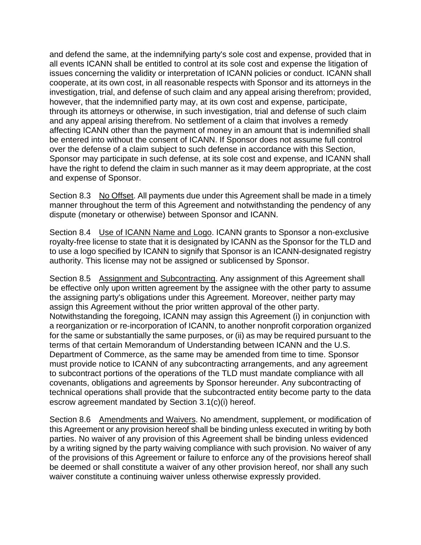and defend the same, at the indemnifying party's sole cost and expense, provided that in all events ICANN shall be entitled to control at its sole cost and expense the litigation of issues concerning the validity or interpretation of ICANN policies or conduct. ICANN shall cooperate, at its own cost, in all reasonable respects with Sponsor and its attorneys in the investigation, trial, and defense of such claim and any appeal arising therefrom; provided, however, that the indemnified party may, at its own cost and expense, participate, through its attorneys or otherwise, in such investigation, trial and defense of such claim and any appeal arising therefrom. No settlement of a claim that involves a remedy affecting ICANN other than the payment of money in an amount that is indemnified shall be entered into without the consent of ICANN. If Sponsor does not assume full control over the defense of a claim subject to such defense in accordance with this Section, Sponsor may participate in such defense, at its sole cost and expense, and ICANN shall have the right to defend the claim in such manner as it may deem appropriate, at the cost and expense of Sponsor.

Section 8.3 No Offset. All payments due under this Agreement shall be made in a timely manner throughout the term of this Agreement and notwithstanding the pendency of any dispute (monetary or otherwise) between Sponsor and ICANN.

Section 8.4 Use of ICANN Name and Logo. ICANN grants to Sponsor a non-exclusive royalty-free license to state that it is designated by ICANN as the Sponsor for the TLD and to use a logo specified by ICANN to signify that Sponsor is an ICANN-designated registry authority. This license may not be assigned or sublicensed by Sponsor.

Section 8.5 Assignment and Subcontracting. Any assignment of this Agreement shall be effective only upon written agreement by the assignee with the other party to assume the assigning party's obligations under this Agreement. Moreover, neither party may assign this Agreement without the prior written approval of the other party. Notwithstanding the foregoing, ICANN may assign this Agreement (i) in conjunction with a reorganization or re-incorporation of ICANN, to another nonprofit corporation organized for the same or substantially the same purposes, or (ii) as may be required pursuant to the terms of that certain Memorandum of Understanding between ICANN and the U.S. Department of Commerce, as the same may be amended from time to time. Sponsor must provide notice to ICANN of any subcontracting arrangements, and any agreement to subcontract portions of the operations of the TLD must mandate compliance with all covenants, obligations and agreements by Sponsor hereunder. Any subcontracting of technical operations shall provide that the subcontracted entity become party to the data escrow agreement mandated by Section 3.1(c)(i) hereof.

Section 8.6 Amendments and Waivers. No amendment, supplement, or modification of this Agreement or any provision hereof shall be binding unless executed in writing by both parties. No waiver of any provision of this Agreement shall be binding unless evidenced by a writing signed by the party waiving compliance with such provision. No waiver of any of the provisions of this Agreement or failure to enforce any of the provisions hereof shall be deemed or shall constitute a waiver of any other provision hereof, nor shall any such waiver constitute a continuing waiver unless otherwise expressly provided.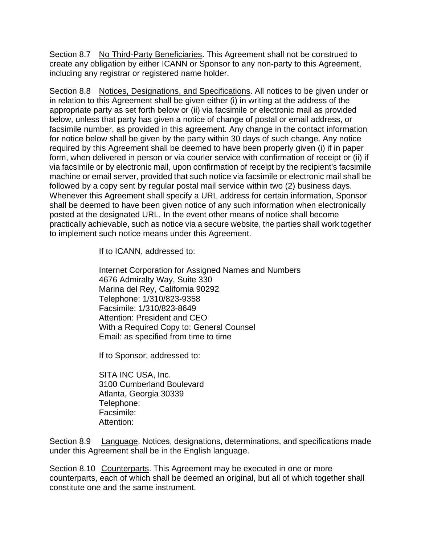Section 8.7 No Third-Party Beneficiaries. This Agreement shall not be construed to create any obligation by either ICANN or Sponsor to any non-party to this Agreement, including any registrar or registered name holder.

Section 8.8 Notices, Designations, and Specifications. All notices to be given under or in relation to this Agreement shall be given either (i) in writing at the address of the appropriate party as set forth below or (ii) via facsimile or electronic mail as provided below, unless that party has given a notice of change of postal or email address, or facsimile number, as provided in this agreement. Any change in the contact information for notice below shall be given by the party within 30 days of such change. Any notice required by this Agreement shall be deemed to have been properly given (i) if in paper form, when delivered in person or via courier service with confirmation of receipt or (ii) if via facsimile or by electronic mail, upon confirmation of receipt by the recipient's facsimile machine or email server, provided that such notice via facsimile or electronic mail shall be followed by a copy sent by regular postal mail service within two (2) business days. Whenever this Agreement shall specify a URL address for certain information, Sponsor shall be deemed to have been given notice of any such information when electronically posted at the designated URL. In the event other means of notice shall become practically achievable, such as notice via a secure website, the parties shall work together to implement such notice means under this Agreement.

If to ICANN, addressed to:

Internet Corporation for Assigned Names and Numbers 4676 Admiralty Way, Suite 330 Marina del Rey, California 90292 Telephone: 1/310/823-9358 Facsimile: 1/310/823-8649 Attention: President and CEO With a Required Copy to: General Counsel Email: as specified from time to time

If to Sponsor, addressed to:

SITA INC USA, Inc. 3100 Cumberland Boulevard Atlanta, Georgia 30339 Telephone: Facsimile: Attention:

Section 8.9 Language. Notices, designations, determinations, and specifications made under this Agreement shall be in the English language.

Section 8.10 Counterparts. This Agreement may be executed in one or more counterparts, each of which shall be deemed an original, but all of which together shall constitute one and the same instrument.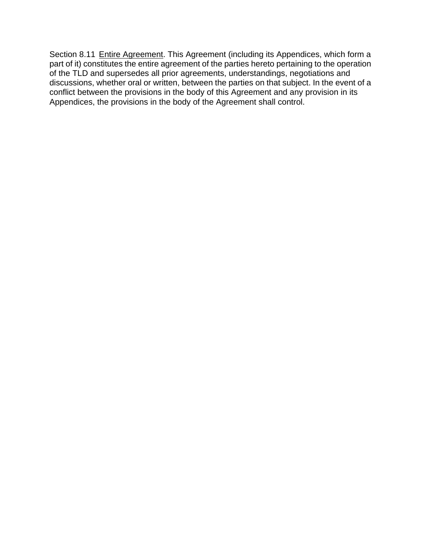Section 8.11 Entire Agreement. This Agreement (including its Appendices, which form a part of it) constitutes the entire agreement of the parties hereto pertaining to the operation of the TLD and supersedes all prior agreements, understandings, negotiations and discussions, whether oral or written, between the parties on that subject. In the event of a conflict between the provisions in the body of this Agreement and any provision in its Appendices, the provisions in the body of the Agreement shall control.